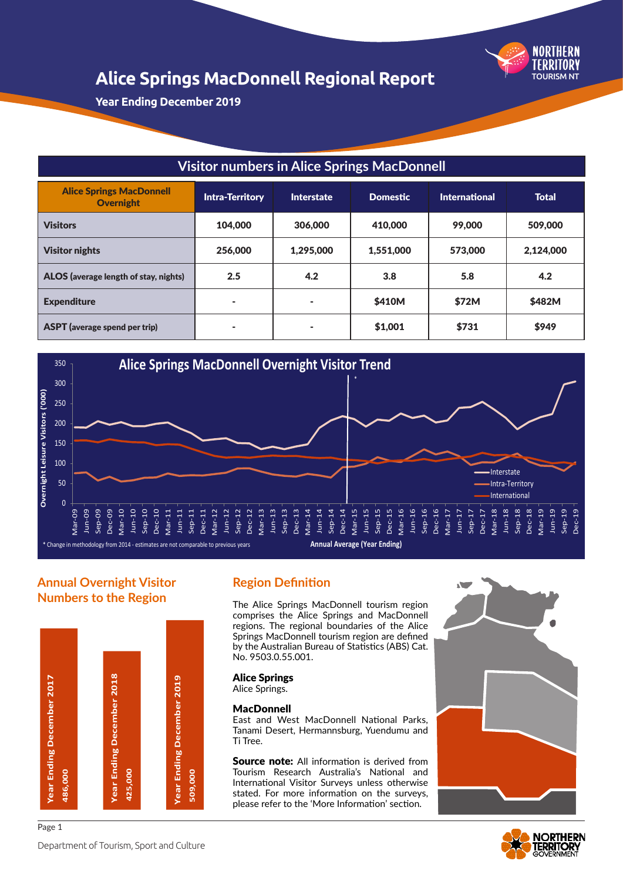

**Year Ending December 2019**

| <b>Visitor numbers in Alice Springs MacDonnell</b>  |                                                                                                        |           |           |         |           |  |  |
|-----------------------------------------------------|--------------------------------------------------------------------------------------------------------|-----------|-----------|---------|-----------|--|--|
| <b>Alice Springs MacDonnell</b><br><b>Overnight</b> | <b>Total</b><br><b>Intra-Territory</b><br><b>Domestic</b><br><b>International</b><br><b>Interstate</b> |           |           |         |           |  |  |
| <b>Visitors</b>                                     | 104,000                                                                                                | 306,000   | 410,000   | 99,000  | 509,000   |  |  |
| <b>Visitor nights</b>                               | 256,000                                                                                                | 1.295.000 | 1,551,000 | 573,000 | 2,124,000 |  |  |
| ALOS (average length of stay, nights)               | 2.5                                                                                                    | 4.2       | 3.8       | 5.8     | 4.2       |  |  |
| <b>Expenditure</b>                                  | ۰                                                                                                      |           | \$410M    | \$72M   | \$482M    |  |  |
| <b>ASPT</b> (average spend per trip)                | ۰                                                                                                      |           | \$1,001   | \$731   | \$949     |  |  |



## **Annual Overnight Visitor Numbers to the Region**



## **Region Definition**

The Alice Springs MacDonnell tourism region comprises the Alice Springs and MacDonnell regions. The regional boundaries of the Alice Springs MacDonnell tourism region are defined by the Australian Bureau of Statistics (ABS) Cat. No. 9503.0.55.001.

#### Alice Springs

Alice Springs.

#### MacDonnell

East and West MacDonnell National Parks, Tanami Desert, Hermannsburg, Yuendumu and Ti Tree.

**Source note:** All information is derived from Tourism Research Australia's National and International Visitor Surveys unless otherwise stated. For more information on the surveys, please refer to the 'More Information' section.



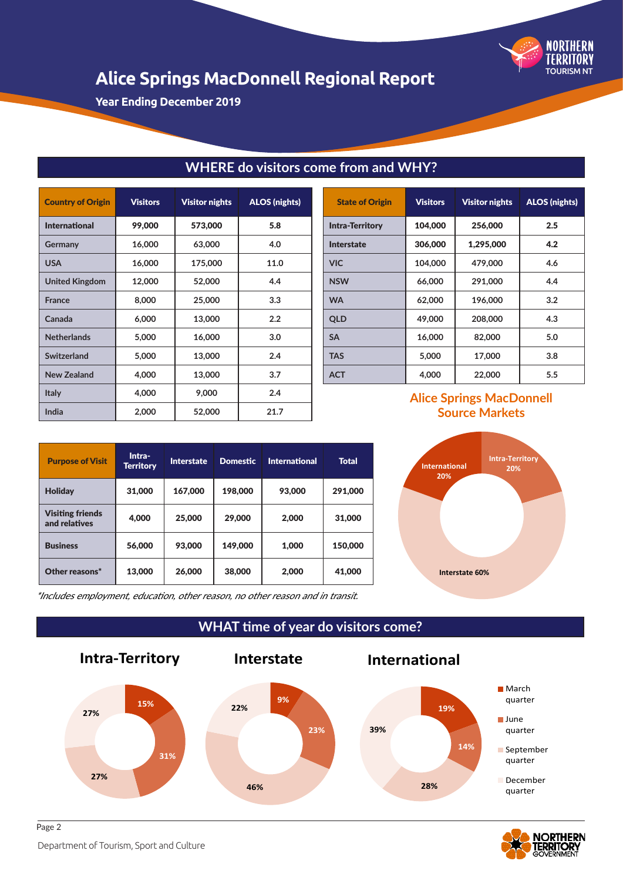

**Year Ending December 2019**

| <b>Country of Origin</b> | <b>Visitors</b> | <b>Visitor nights</b> | <b>ALOS</b> (nights) |
|--------------------------|-----------------|-----------------------|----------------------|
| <b>International</b>     | 99,000          | 573,000               | 5.8                  |
| Germany                  | 16,000          | 63,000                | 4.0                  |
| <b>USA</b>               | 16,000          | 175,000               | 11.0                 |
| <b>United Kingdom</b>    | 12,000          | 52,000                | 4.4                  |
| <b>France</b>            | 8,000           | 25,000                | 3.3                  |
| Canada                   | 6,000           | 13,000                | 2.2                  |
| <b>Netherlands</b>       | 5,000           | 16,000                | 3.0                  |
| Switzerland              | 5,000           | 13,000                | 2.4                  |
| <b>New Zealand</b>       | 4,000           | 13,000                | 3.7                  |
| Italy                    | 4,000           | 9,000                 | 2.4                  |
| India                    | 2,000           | 52,000                | 21.7                 |

## **WHERE do visitors come from and WHY?**

| <b>State of Origin</b> | <b>Visitors</b> | <b>Visitor nights</b> | <b>ALOS</b> (nights) |
|------------------------|-----------------|-----------------------|----------------------|
| <b>Intra-Territory</b> | 104,000         | 256,000               | 2.5                  |
| <b>Interstate</b>      | 306,000         | 1,295,000             | 4.2                  |
| <b>VIC</b>             | 104.000         | 479,000               | 4.6                  |
| <b>NSW</b>             | 66,000          | 291,000               | 4.4                  |
| <b>WA</b>              | 62,000          | 196,000               | 3.2                  |
| <b>QLD</b>             | 49,000          | 208,000               | 4.3                  |
| <b>SA</b>              | 16,000          | 82,000                | 5.0                  |
| <b>TAS</b>             | 5,000           | 17,000                | 3.8                  |
| <b>ACT</b>             | 4,000           | 22,000                | 5.5                  |

## **Alice Springs MacDonnell Source Markets**

| <b>Purpose of Visit</b>                  | Intra-<br><b>Territory</b> | <b>Interstate</b> | <b>Domestic</b> | <b>International</b> | <b>Total</b> |
|------------------------------------------|----------------------------|-------------------|-----------------|----------------------|--------------|
| <b>Holiday</b>                           | 31,000                     | 167,000           | 198,000         | 93,000               | 291,000      |
| <b>Visiting friends</b><br>and relatives | 4,000                      | 25,000            | 29,000          | 2,000                | 31,000       |
| <b>Business</b>                          | 56,000                     | 93,000            | 149,000         | 1.000                | 150,000      |
| Other reasons*                           | 13,000                     | 26,000            | 38,000          | 2,000                | 41,000       |



\*Includes employment, education, other reason, no other reason and in transit.



**WHAT time of year do visitors come?**

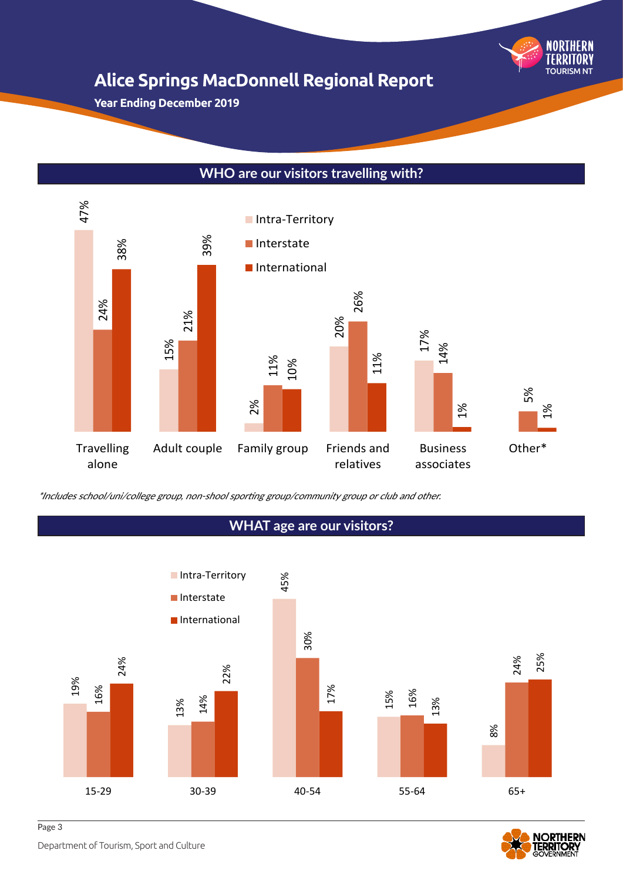

**Year Ending December 2019**

### **WHO are our visitors travelling with?**





Department of Tourism, Sport and Culture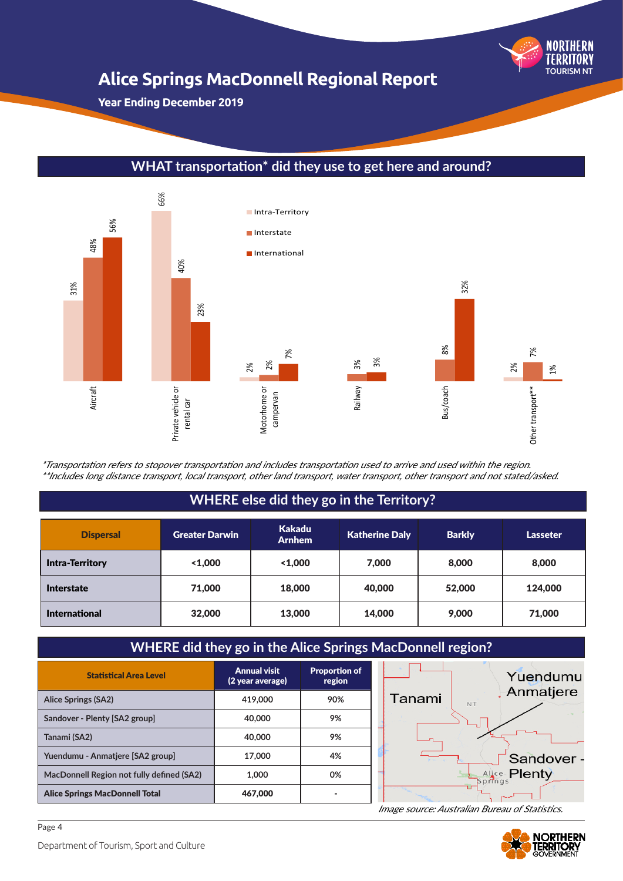

**Year Ending December 2019**



### **WHAT transportation\* did they use to get here and around?**

\*Transportation refers to stopover transportation and includes transportation used to arrive and used within the region. \*\*Includes long distance transport, local transport, other land transport, water transport, other transport and not stated/asked.

### **WHERE else did they go in the Territory?**

| <b>Dispersal</b>       | <b>Greater Darwin</b> | <b>Kakadu</b><br><b>Arnhem</b> | <b>Katherine Daly</b> | <b>Barkly</b> | <b>Lasseter</b> |
|------------------------|-----------------------|--------------------------------|-----------------------|---------------|-----------------|
| <b>Intra-Territory</b> | 1.000                 | 1.000                          | 7,000                 | 8,000         | 8,000           |
| <b>Interstate</b>      | 71,000                | 18,000                         | 40,000                | 52,000        | 124,000         |
| <b>International</b>   | 32,000                | 13,000                         | 14,000                | 9,000         | 71,000          |

## **WHERE did they go in the Alice Springs MacDonnell region?**

| <b>Statistical Area Level</b>             | <b>Annual visit</b><br>(2 year average) | <b>Proportion of</b><br>region | Yuendumu                  |
|-------------------------------------------|-----------------------------------------|--------------------------------|---------------------------|
| <b>Alice Springs (SA2)</b>                | 419,000                                 | 90%                            | Anmatjere<br>Tanami<br>NT |
| Sandover - Plenty [SA2 group]             | 40,000                                  | 9%                             |                           |
| Tanami (SA2)                              | 40,000                                  | 9%                             |                           |
| Yuendumu - Anmatjere [SA2 group]          | 17,000                                  | 4%                             | Sandover -                |
| MacDonnell Region not fully defined (SA2) | 1.000                                   | 0%                             | Alice-Plenty<br>Springs   |
| <b>Alice Springs MacDonnell Total</b>     | 467,000                                 |                                |                           |

Image source: Australian Bureau of Statistics.

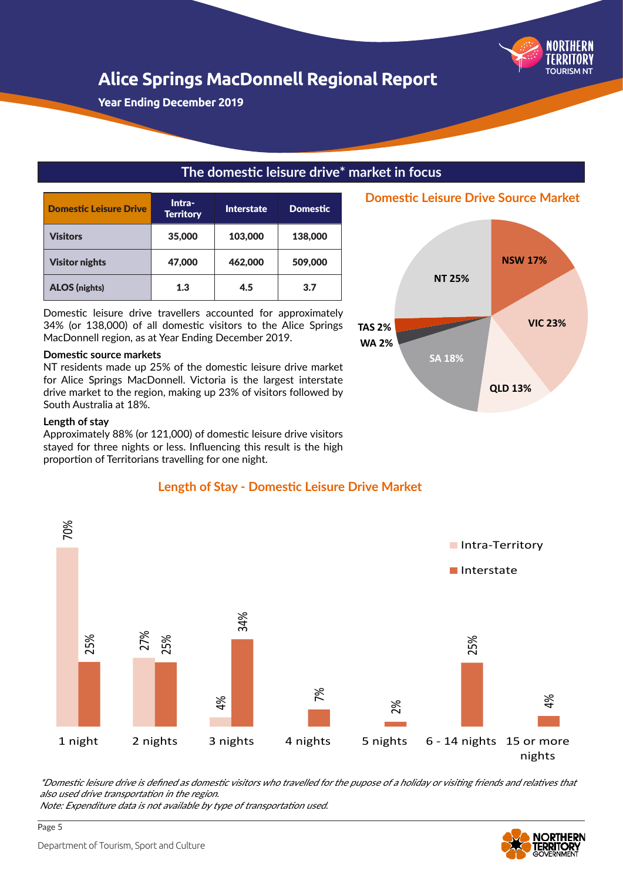

**Year Ending December 2019**

### **The domestic leisure drive\* market in focus**

| <b>Domestic Leisure Drive</b> | Intra-<br><b>Territory</b> | <b>Interstate</b> | <b>Domestic</b> |
|-------------------------------|----------------------------|-------------------|-----------------|
| <b>Visitors</b>               | 35,000                     | 103,000           | 138,000         |
| <b>Visitor nights</b>         | 47,000                     | 462.000           | 509,000         |
| <b>ALOS</b> (nights)          | 1.3                        | 4.5               | 3.7             |

Domestic leisure drive travellers accounted for approximately 34% (or 138,000) of all domestic visitors to the Alice Springs MacDonnell region, as at Year Ending December 2019.

#### **Domestic source markets**

NT residents made up 25% of the domestic leisure drive market for Alice Springs MacDonnell. Victoria is the largest interstate drive market to the region, making up 23% of visitors followed by South Australia at 18%.

#### **Length of stay**

Approximately 88% (or 121,000) of domestic leisure drive visitors stayed for three nights or less. Influencing this result is the high proportion of Territorians travelling for one night.



**Domestic Leisure Drive Source Market**

### **Length of Stay - Domestic Leisure Drive Market**



\*Domestic leisure drive is defined as domestic visitors who travelled for the pupose of a holiday or visiting friends and relatives that also used drive transportation in the region.

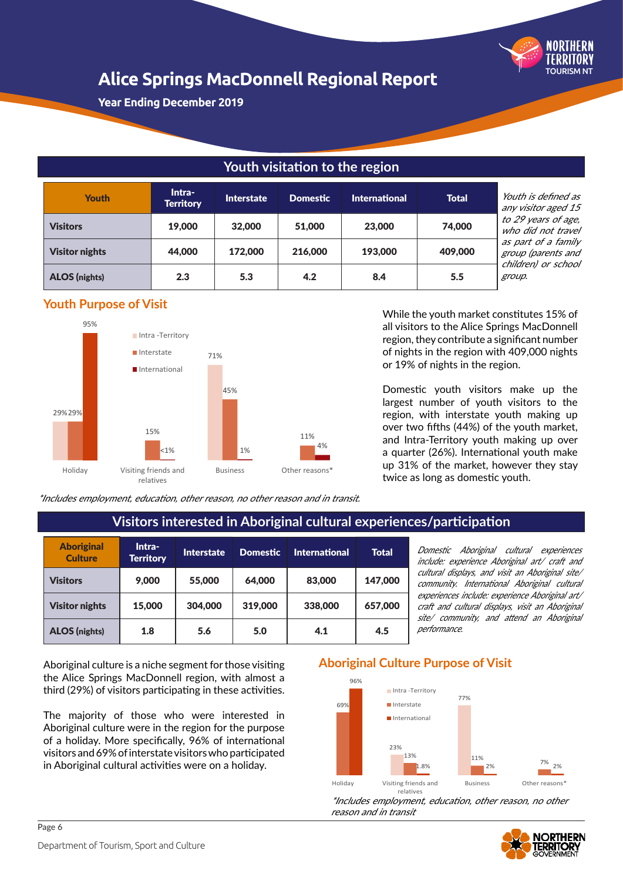

**Year Ending December 2019**

## **Youth visitation to the region**

| Youth                 | Intra-<br><b>Territory</b> | <b>Interstate</b> | <b>Domestic</b> | <b>International</b> | <b>Total</b> | Youth is defined as<br>any visitor aged 15 |
|-----------------------|----------------------------|-------------------|-----------------|----------------------|--------------|--------------------------------------------|
| <b>Visitors</b>       | 19,000                     | 32,000            | 51,000          | 23,000               | 74,000       | to 29 years of age,<br>who did not travel  |
| <b>Visitor nights</b> | 44,000                     | 172,000           | 216,000         | 193,000              | 409,000      | as part of a family<br>group (parents and  |
| <b>ALOS</b> (nights)  | 2.3                        | 5.3               | 4.2             | 8.4                  | 5.5          | children) or school<br>group.              |

**Youth Purpose of Visit**



While the youth market constitutes 15% of all visitors to the Alice Springs MacDonnell region, they contribute a significant number of nights in the region with 409,000 nights or 19% of nights in the region.

Domestic youth visitors make up the largest number of youth visitors to the region, with interstate youth making up over two fifths (44%) of the youth market, and Intra-Territory youth making up over a quarter (26%). International youth make up 31% of the market, however they stay twice as long as domestic youth.

\*Includes employment, education, other reason, no other reason and in transit.

|                                     |                            |                   |                 | <u>, istora interested in Albertandi suttua experience</u> |              |
|-------------------------------------|----------------------------|-------------------|-----------------|------------------------------------------------------------|--------------|
| <b>Aboriginal</b><br><b>Culture</b> | Intra-<br><b>Territory</b> | <b>Interstate</b> | <b>Domestic</b> | <b>International</b>                                       | <b>Total</b> |
| <b>Visitors</b>                     | 9,000                      | 55,000            | 64,000          | 83,000                                                     | 147,000      |
| <b>Visitor nights</b>               | 15,000                     | 304,000           | 319,000         | 338,000                                                    | 657,000      |
| <b>ALOS</b> (nights)                | 1.8                        | 5.6               | 5.0             | 4.1                                                        | 4.5          |

## **Visitors interested in Aboriginal cultural experiences/participation**

Domestic Aboriginal cultural experiences include: experience Aboriginal art/ craft and cultural displays, and visit an Aboriginal site/ community. International Aboriginal cultural experiences include: experience Aboriginal art/ craft and cultural displays, visit an Aboriginal site/ community, and attend an Aboriginal performance.

Aboriginal culture is a niche segment for those visiting the Alice Springs MacDonnell region, with almost a third (29%) of visitors participating in these activities.

The majority of those who were interested in Aboriginal culture were in the region for the purpose of a holiday. More specifically, 96% of international visitors and 69% of interstate visitors who participated in Aboriginal cultural activities were on a holiday.

### **Aboriginal Culture Purpose of Visit**



\*Includes employment, education, other reason, no other reason and in transit

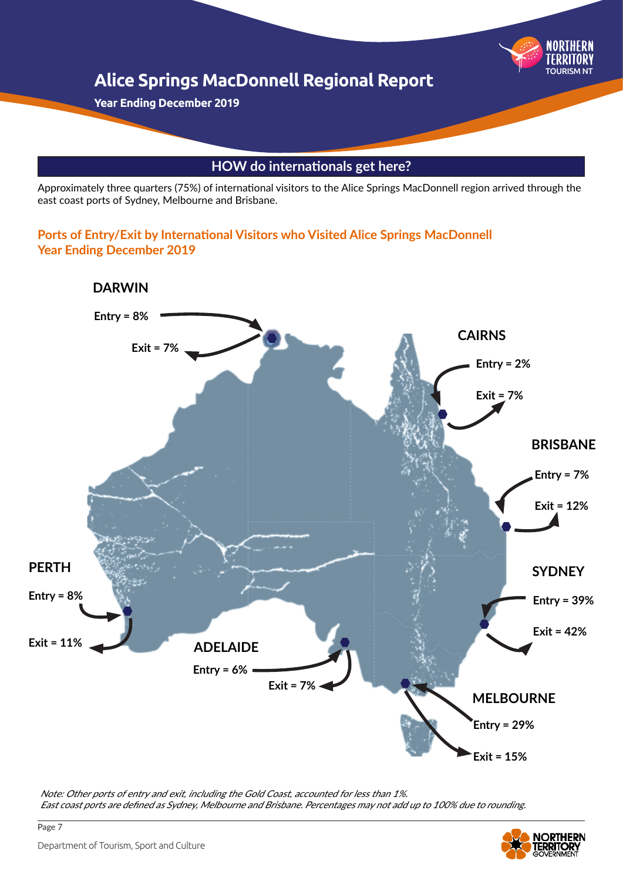

Approximately three quarters (75%) of international visitors to the Alice Springs MacDonnell region arrived through the east coast ports of Sydney, Melbourne and Brisbane.

### **Ports of Entry/Exit by International Visitors who Visited Alice Springs MacDonnell Year Ending December 2019**



Note: Other ports of entry and exit, including the Gold Coast, accounted for less than 1%. East coast ports are defined as Sydney, Melbourne and Brisbane. Percentages may not add up to 100% due to rounding.



Page 7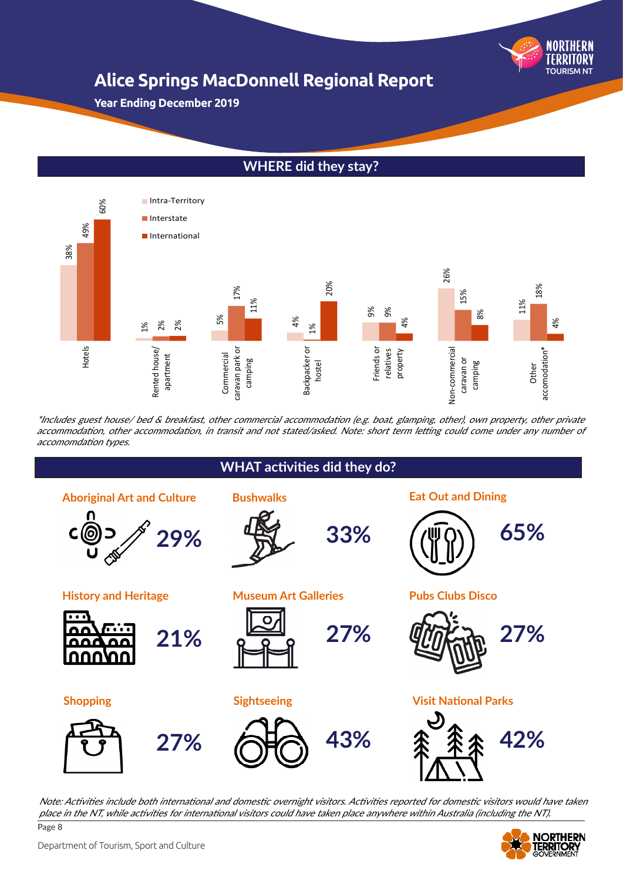

**Year Ending December 2019**

## **WHERE did they stay?**



\*Includes guest house/ bed & breakfast, other commercial accommodation (e.g. boat, glamping, other), own property, other private accommodation, other accommodation, in transit and not stated/asked. Note: short term letting could come under any number of



Page 8 Note: Activities include both international and domestic overnight visitors. Activities reported for domestic visitors would have taken place in the NT, while activities for international visitors could have taken place anywhere within Australia (including the NT).